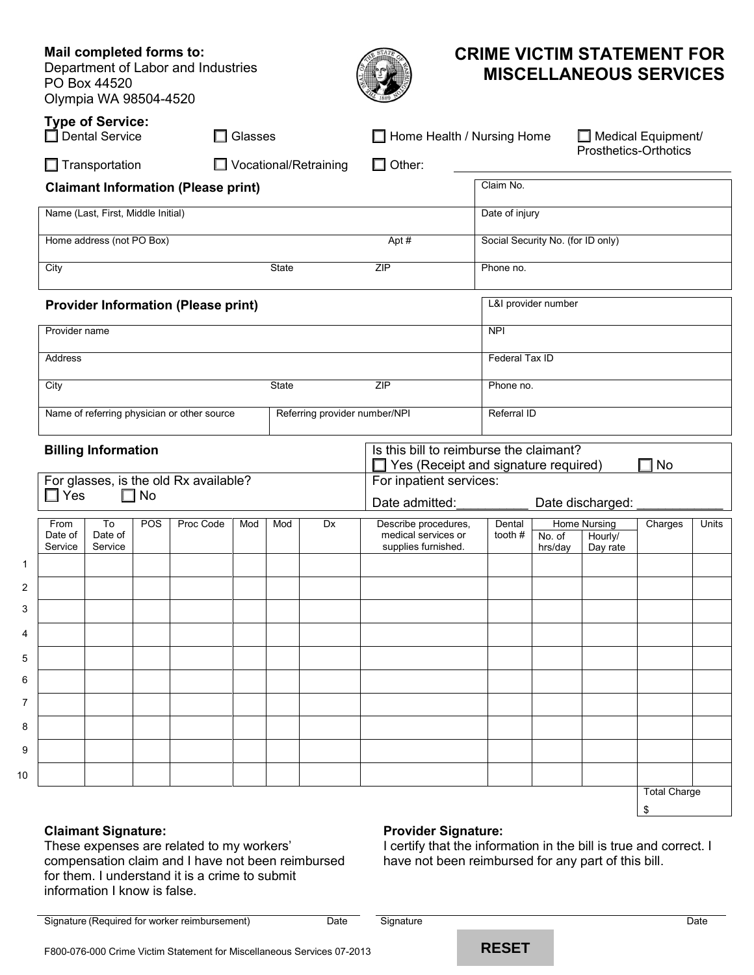|                                                                                         | Mail completed forms to:<br>PO Box 44520<br>Olympia WA 98504-4520 |     | Department of Labor and Industries          |                                                                                                                                                                    |                                                         |                               |                                             | <b>CRIME VICTIM STATEMENT FOR</b> |                       |                                | <b>MISCELLANEOUS SERVICES</b> |       |
|-----------------------------------------------------------------------------------------|-------------------------------------------------------------------|-----|---------------------------------------------|--------------------------------------------------------------------------------------------------------------------------------------------------------------------|---------------------------------------------------------|-------------------------------|---------------------------------------------|-----------------------------------|-----------------------|--------------------------------|-------------------------------|-------|
| <b>Type of Service:</b><br>$\Box$ Dental Service<br>$\Box$ Glasses                      |                                                                   |     |                                             |                                                                                                                                                                    | Home Health / Nursing Home<br>$\Box$ Medical Equipment/ |                               |                                             |                                   |                       |                                |                               |       |
| □ Vocational/Retraining<br>$\Box$ Transportation                                        |                                                                   |     |                                             |                                                                                                                                                                    | $\Box$ Other:                                           |                               |                                             |                                   | Prosthetics-Orthotics |                                |                               |       |
|                                                                                         |                                                                   |     | <b>Claimant Information (Please print)</b>  |                                                                                                                                                                    |                                                         |                               |                                             | Claim No.                         |                       |                                |                               |       |
|                                                                                         | Name (Last, First, Middle Initial)                                |     |                                             |                                                                                                                                                                    |                                                         |                               |                                             | Date of injury                    |                       |                                |                               |       |
|                                                                                         | Home address (not PO Box)                                         |     |                                             |                                                                                                                                                                    |                                                         |                               | Apt#                                        | Social Security No. (for ID only) |                       |                                |                               |       |
| City                                                                                    | State                                                             |     |                                             |                                                                                                                                                                    |                                                         | ZIP                           | Phone no.                                   |                                   |                       |                                |                               |       |
|                                                                                         |                                                                   |     | <b>Provider Information (Please print)</b>  |                                                                                                                                                                    |                                                         |                               |                                             |                                   | L&I provider number   |                                |                               |       |
| Provider name                                                                           |                                                                   |     |                                             |                                                                                                                                                                    |                                                         |                               |                                             | NPI                               |                       |                                |                               |       |
| Address                                                                                 |                                                                   |     |                                             |                                                                                                                                                                    |                                                         |                               |                                             | Federal Tax ID                    |                       |                                |                               |       |
| City                                                                                    |                                                                   |     |                                             |                                                                                                                                                                    | State                                                   |                               | <b>ZIP</b>                                  | Phone no.                         |                       |                                |                               |       |
|                                                                                         |                                                                   |     | Name of referring physician or other source |                                                                                                                                                                    |                                                         | Referring provider number/NPI | Referral ID                                 |                                   |                       |                                |                               |       |
| <b>Billing Information</b><br>For glasses, is the old Rx available?<br>$\Box$ Yes<br>No |                                                                   |     |                                             | Is this bill to reimburse the claimant?<br>No<br>$\Box$ Yes (Receipt and signature required)<br>H<br>For inpatient services:<br>Date admitted:<br>Date discharged: |                                                         |                               |                                             |                                   |                       |                                |                               |       |
| From<br>Date of                                                                         | To<br>Date of                                                     | POS | Proc Code                                   | Mod                                                                                                                                                                | Mod                                                     | Dx                            | Describe procedures,<br>medical services or | Dental<br>tooth #                 | No. of                | <b>Home Nursing</b><br>Hourly/ | Charges                       | Units |
| Service                                                                                 | Service                                                           |     |                                             |                                                                                                                                                                    |                                                         |                               | supplies furnished.                         |                                   | hrs/day               | Day rate                       |                               |       |
|                                                                                         |                                                                   |     |                                             |                                                                                                                                                                    |                                                         |                               |                                             |                                   |                       |                                |                               |       |
|                                                                                         |                                                                   |     |                                             |                                                                                                                                                                    |                                                         |                               |                                             |                                   |                       |                                |                               |       |
|                                                                                         |                                                                   |     |                                             |                                                                                                                                                                    |                                                         |                               |                                             |                                   |                       |                                |                               |       |
|                                                                                         |                                                                   |     |                                             |                                                                                                                                                                    |                                                         |                               |                                             |                                   |                       |                                |                               |       |
|                                                                                         |                                                                   |     |                                             |                                                                                                                                                                    |                                                         |                               |                                             |                                   |                       |                                |                               |       |
|                                                                                         |                                                                   |     |                                             |                                                                                                                                                                    |                                                         |                               |                                             |                                   |                       |                                |                               |       |
|                                                                                         |                                                                   |     |                                             |                                                                                                                                                                    |                                                         |                               |                                             |                                   |                       |                                |                               |       |
|                                                                                         |                                                                   |     |                                             |                                                                                                                                                                    |                                                         |                               |                                             |                                   |                       |                                |                               |       |
|                                                                                         |                                                                   |     |                                             |                                                                                                                                                                    |                                                         |                               |                                             |                                   |                       |                                | <b>Total Charge</b>           |       |

# **Claimant Signature:**

1 2 3

4

10

**Mail completed forms to:**

# **Provider Signature:**

These expenses are related to my workers' compensation claim and I have not been reimbursed for them. I understand it is a crime to submit information I know is false.

# I certify that the information in the bill is true and correct. I have not been reimbursed for any part of this bill.

Signature (Required for worker reimbursement) Date Date Signature Contract of Contract Date Date

\$